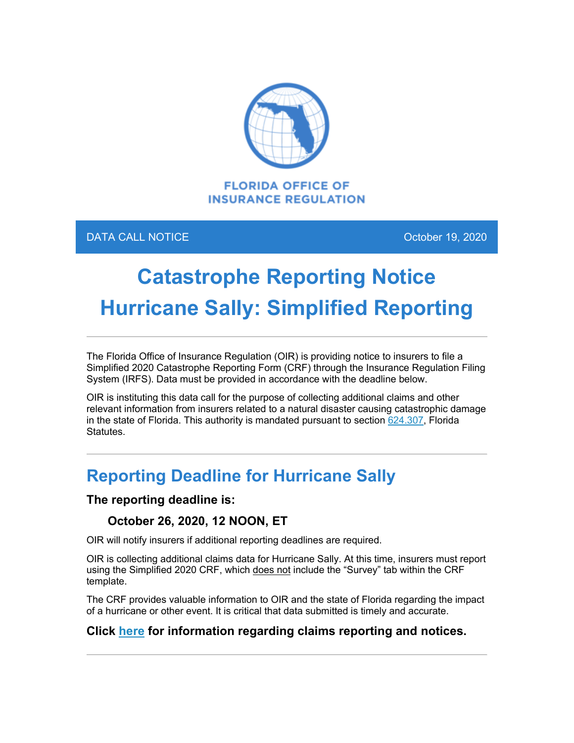

### DATA CALL NOTICE **October 19, 2020**

# **Catastrophe Reporting Notice Hurricane Sally: Simplified Reporting**

The Florida Office of Insurance Regulation (OIR) is providing notice to insurers to file a Simplified 2020 Catastrophe Reporting Form (CRF) through the Insurance Regulation Filing System (IRFS). Data must be provided in accordance with the deadline below.

OIR is instituting this data call for the purpose of collecting additional claims and other relevant information from insurers related to a natural disaster causing catastrophic damage in the state of Florida. This authority is mandated pursuant to section  $624.307$ , Florida Statutes.

## **Reporting Deadline for Hurricane Sally**

### **The reporting deadline is:**

### **October 26, 2020, 12 NOON, ET**

OIR will notify insurers if additional reporting deadlines are required.

OIR is collecting additional claims data for Hurricane Sally. At this time, insurers must report using the Simplified 2020 CRF, which does not include the "Survey" tab within the CRF template.

The CRF provides valuable information to OIR and the state of Florida regarding the impact of a hurricane or other event. It is critical that data submitted is timely and accurate.

### **Click [here](https://floir.com/Sections/PandC/ProductReview/CatastropheReporting.aspx?utm_medium=email&utm_source=govdelivery) for information regarding claims reporting and notices.**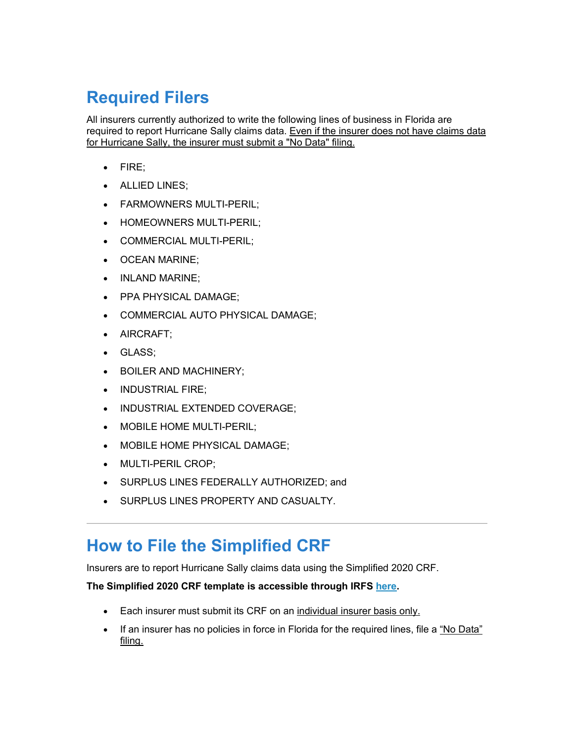# **Required Filers**

All insurers currently authorized to write the following lines of business in Florida are required to report Hurricane Sally claims data. Even if the insurer does not have claims data for Hurricane Sally, the insurer must submit a "No Data" filing.

- FIRE;
- ALLIED LINES;
- FARMOWNERS MULTI-PERIL;
- HOMEOWNERS MULTI-PERIL;
- COMMERCIAL MULTI-PERIL;
- OCEAN MARINE;
- INLAND MARINE;
- PPA PHYSICAL DAMAGE;
- COMMERCIAL AUTO PHYSICAL DAMAGE;
- AIRCRAFT;
- GLASS;
- BOILER AND MACHINERY;
- INDUSTRIAL FIRE;
- INDUSTRIAL EXTENDED COVERAGE;
- MOBILE HOME MULTI-PERIL;
- MOBILE HOME PHYSICAL DAMAGE;
- MULTI-PERIL CROP;
- SURPLUS LINES FEDERALLY AUTHORIZED; and
- SURPLUS LINES PROPERTY AND CASUALTY.

### **How to File the Simplified CRF**

Insurers are to report Hurricane Sally claims data using the Simplified 2020 CRF.

#### **The Simplified 2020 CRF template is accessible through IRFS [here.](https://irfs.fldfs.com/?utm_medium=email&utm_source=govdelivery)**

- Each insurer must submit its CRF on an individual insurer basis only.
- If an insurer has no policies in force in Florida for the required lines, file a "No Data" filing.